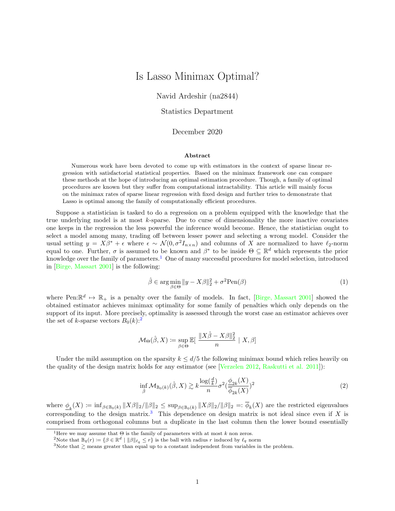## Is Lasso Minimax Optimal?

Navid Ardeshir (na2844)

Statistics Department

## December 2020

## Abstract

Numerous work have been devoted to come up with estimators in the context of sparse linear regression with satisfactorial statistical properties. Based on the minimax framework one can compare these methods at the hope of introducing an optimal estimation procedure. Though, a family of optimal procedures are known but they suffer from computational intractability. This article will mainly focus on the minimax rates of sparse linear regression with fixed design and further tries to demonstrate that Lasso is optimal among the family of computationally efficient procedures.

Suppose a statistician is tasked to do a regression on a problem equipped with the knowledge that the true underlying model is at most k-sparse. Due to curse of dimensionality the more inactive covariates one keeps in the regression the less powerful the inference would become. Hence, the statistician ought to select a model among many, trading off between lesser power and selecting a wrong model. Consider the usual setting  $y = X\beta^* + \epsilon$  where  $\epsilon \sim \mathcal{N}(0, \sigma^2 I_{n \times n})$  and columns of X are normalized to have  $\ell_2$ -norm equal to one. Further,  $\sigma$  is assumed to be known and  $\beta^*$  to be inside  $\Theta \subseteq \mathbb{R}^d$  which represents the prior knowledge over the family of parameters.<sup>[1](#page-0-0)</sup> One of many successful procedures for model selection, introduced in [\[Birge, Massart 2001\]](#page-2-0) is the following:

$$
\hat{\beta} \in \arg\min_{\beta \in \Theta} \|y - X\beta\|_2^2 + \sigma^2 \text{Pen}(\beta)
$$
\n(1)

<span id="page-0-3"></span>where Pen:  $\mathbb{R}^d \mapsto \mathbb{R}_+$  is a penalty over the family of models. In fact, [\[Birge, Massart 2001\]](#page-2-0) showed the obtained estimator achieves minimax optimality for some family of penalties which only depends on the support of its input. More precisely, optimality is assessed through the worst case an estimator achieves over the set of k-sparse vectors  $B_0(k)$ :<sup>[2](#page-0-1)</sup>

$$
\mathcal{M}_{\Theta}(\hat{\beta},X) \coloneqq \sup_{\beta \in \Theta} \mathbb{E}[\ \frac{\|X\hat{\beta} - X\beta\|_2^2}{n} \ | \ X, \beta]
$$

Under the mild assumption on the sparsity  $k \leq d/5$  the following minimax bound which relies heavily on the quality of the design matrix holds for any estimator (see [\[Verzelen 2012,](#page-2-1) [Raskutti et al. 2011\]](#page-2-2)):

$$
\inf_{\hat{\beta}} \mathcal{M}_{\mathbb{B}_0(k)}(\hat{\beta}, X) \gtrsim k \frac{\log(\frac{d}{k})}{n} \sigma^2(\frac{\phi_{2k}(X)}{\overline{\phi}_{2k}(X)})^2
$$
\n(2)

where  $\underline{\phi}_k(X) \coloneqq \inf_{\beta \in \mathbb{B}_0(k)} \|X\beta\|_2 / \|\beta\|_2 \leq \sup_{\beta \in \mathbb{B}_0(k)} \|X\beta\|_2 / \|\beta\|_2 =: \overline{\phi}_k(X)$  are the restricted eigenvalues corresponding to the design matrix.<sup>[3](#page-0-2)</sup> This dependence on design matrix is not ideal since even if X is comprised from orthogonal columns but a duplicate in the last column then the lower bound essentially

<span id="page-0-0"></span><sup>&</sup>lt;sup>1</sup>Here we may assume that  $\Theta$  is the family of parameters with at most  $k$  non zeros.

<span id="page-0-1"></span><sup>&</sup>lt;sup>2</sup>Note that  $\mathbb{B}_q(r) \coloneqq \{\beta \in \mathbb{R}^d \mid ||\beta||_{\ell_q} \leq r\}$  is the ball with radius r induced by  $\ell_q$  norm

<span id="page-0-2"></span><sup>&</sup>lt;sup>3</sup>Note that  $\gtrsim$  means greater than equal up to a constant independent from variables in the problem.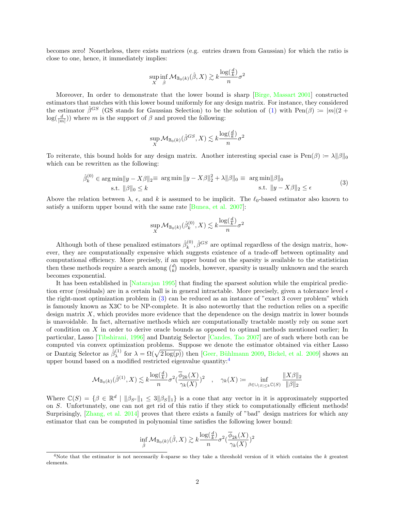becomes zero! Nonetheless, there exists matrices (e.g. entries drawn from Gaussian) for which the ratio is close to one, hence, it immediately implies:

$$
\sup_X \inf_{\hat{\beta}} \mathcal{M}_{\mathbb{B}_0(k)}(\hat{\beta}, X) \gtrsim k \frac{\log(\frac{d}{k})}{n} \sigma^2
$$

Moreover, In order to demonstrate that the lower bound is sharp [\[Birge, Massart 2001\]](#page-2-0) constructed estimators that matches with this lower bound uniformly for any design matrix. For instance, they considered the estimator  $\hat{\beta}^{GS}$  (GS stands for Gaussian Selection) to be the solution of [\(1\)](#page-0-3) with Pen( $\beta$ ) :=  $|m|(2 +$  $log(\frac{d}{|m|})$  where m is the support of  $\beta$  and proved the following:

$$
\sup_X \mathcal{M}_{\mathbb{B}_0(k)}(\hat{\beta}^{GS}, X) \lesssim k \frac{\log(\frac{d}{k})}{n} \sigma^2
$$

<span id="page-1-0"></span>To reiterate, this bound holds for any design matrix. Another interesting special case is  $\text{Pen}(\beta) := \lambda ||\beta||_0$ which can be rewritten as the following:

$$
\hat{\beta}_k^{(0)} \in \arg\min \|y - X\beta\|_2 \equiv \arg\min \|y - X\beta\|_2^2 + \lambda \|\beta\|_0 \equiv \arg\min \|\beta\|_0
$$
  
s.t.  $\|\beta\|_0 \le k$  s.t.  $\|y - X\beta\|_2 \le \epsilon$  (3)

Above the relation between  $\lambda$ ,  $\epsilon$ , and k is assumed to be implicit. The  $\ell_0$ -based estimator also known to satisfy a uniform upper bound with the same rate [\[Bunea, et al. 2007\]](#page-2-3):

$$
\sup_X \mathcal{M}_{\mathbb{B}_0(k)}(\hat{\beta}^{(0)}_k,X) \lesssim k \frac{\log(\frac{d}{k})}{n} \sigma^2
$$

Although both of these penalized estimators  $\hat{\beta}_k^{(0)}$  $k^{(0)}$ ,  $\hat{\beta}^{GS}$  are optimal regardless of the design matrix, however, they are computationally expensive which suggests existence of a trade-off between optimality and computational efficiency. More precisely, if an upper bound on the sparsity is available to the statistician then these methods require a search among  $\binom{d}{k}$  models, however, sparsity is usually unknown and the search becomes exponential.

It has been established in [\[Natarajan 1995\]](#page-2-4) that finding the sparsest solution while the empirical prediction error (residuals) are in a certain ball is in general intractable. More precisely, given a tolerance level  $\epsilon$ the right-most optimization problem in [\(3\)](#page-1-0) can be reduced as an instance of "exact 3 cover problem" which is famously known as X3C to be NP-complete. It is also noteworthy that the reduction relies on a specific design matrix  $X$ , which provides more evidence that the dependence on the design matrix in lower bounds is unavoidable. In fact, alternative methods which are computationally tractable mostly rely on some sort of condition on  $X$  in order to derive oracle bounds as opposed to optimal methods mentioned earlier; In particular, Lasso [\[Tibshirani, 1996\]](#page-2-5) and Dantzig Selector [\[Candes, Tao 2007\]](#page-2-6) are of such where both can be computed via convex optimization problems. Suppose we denote the estimator obtained via either Lasso or Dantzig Selector as  $\hat{\beta}_{\lambda}^{(1)}$ <sup>(1)</sup> for  $\lambda = \Omega(\sqrt{2 \log(p)})$  then [Geer, Bühlmann 2009, [Bickel, et al. 2009\]](#page-2-8) shows an upper bound based on a modified restricted eigenvalue quantity:<sup>[4](#page-1-1)</sup>

$$
\mathcal{M}_{\mathbb{B}_0(k)}(\hat{\beta}^{(1)}, X) \lesssim k \frac{\log(\frac{d}{k})}{n} \sigma^2 \left(\frac{\overline{\phi}_{2k}(X)}{\gamma_k(X)}\right)^2 \quad , \quad \gamma_k(X) := \inf_{\beta \in \cup_{|S| \le k} \mathbb{C}(S)} \frac{\|X\beta\|_2}{\|\beta\|_2}
$$

Where  $\mathbb{C}(S) = \{ \beta \in \mathbb{R}^d \mid \|\beta_{S^c}\|_1 \leq 3 \|\beta_S\|_1 \}$  is a cone that any vector in it is approximately supported on S. Unfortunately, one can not get rid of this ratio if they stick to computationally efficient methods! Surprisingly, [\[Zhang, et al. 2014\]](#page-2-9) proves that there exists a family of "bad" design matrices for which any estimator that can be computed in polynomial time satisfies the following lower bound:

$$
\inf_{\hat{\beta}} \mathcal{M}_{\mathbb{B}_0(k)}(\hat{\beta},X) \gtrsim k \frac{\log(\frac{d}{k})}{n} \sigma^2 (\frac{\overline{\phi}_{2k}(X)}{\gamma_k(X)})^2
$$

<span id="page-1-1"></span><sup>&</sup>lt;sup>4</sup>Note that the estimator is not necessarily k-sparse so they take a threshold version of it which contains the k greatest elements.